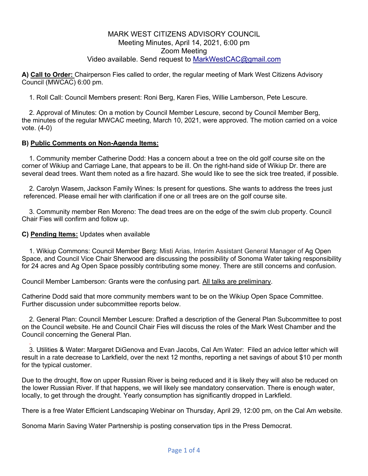# MARK WEST CITIZENS ADVISORY COUNCIL Meeting Minutes, April 14, 2021, 6:00 pm Zoom Meeting Video available. Send request to MarkWestCAC@gmail.com

**A) Call to Order:** Chairperson Fies called to order, the regular meeting of Mark West Citizens Advisory Council (MWCAC) 6:00 pm.

1. Roll Call: Council Members present: Roni Berg, Karen Fies, Willie Lamberson, Pete Lescure.

2. Approval of Minutes: On a motion by Council Member Lescure, second by Council Member Berg, the minutes of the regular MWCAC meeting, March 10, 2021, were approved. The motion carried on a voice vote. (4-0)

### **B) Public Comments on Non-Agenda Items:**

1. Community member Catherine Dodd: Has a concern about a tree on the old golf course site on the corner of Wikiup and Carriage Lane, that appears to be ill. On the right-hand side of Wikiup Dr. there are several dead trees. Want them noted as a fire hazard. She would like to see the sick tree treated, if possible.

2. Carolyn Wasem, Jackson Family Wines: Is present for questions. She wants to address the trees just referenced. Please email her with clarification if one or all trees are on the golf course site.

3. Community member Ren Moreno: The dead trees are on the edge of the swim club property. Council Chair Fies will confirm and follow up.

### **C) Pending Items:** Updates when available

.

1. Wikiup Commons: Council Member Berg: Misti Arias, Interim Assistant General Manager of Ag Open Space, and Council Vice Chair Sherwood are discussing the possibility of Sonoma Water taking responsibility for 24 acres and Ag Open Space possibly contributing some money. There are still concerns and confusion.

Council Member Lamberson: Grants were the confusing part. All talks are preliminary.

Catherine Dodd said that more community members want to be on the Wikiup Open Space Committee. Further discussion under subcommittee reports below.

2. General Plan: Council Member Lescure: Drafted a description of the General Plan Subcommittee to post on the Council website. He and Council Chair Fies will discuss the roles of the Mark West Chamber and the Council concerning the General Plan.

3. Utilities & Water: Margaret DiGenova and Evan Jacobs, Cal Am Water: Filed an advice letter which will result in a rate decrease to Larkfield, over the next 12 months, reporting a net savings of about \$10 per month for the typical customer.

Due to the drought, flow on upper Russian River is being reduced and it is likely they will also be reduced on the lower Russian River. If that happens, we will likely see mandatory conservation. There is enough water, locally, to get through the drought. Yearly consumption has significantly dropped in Larkfield.

There is a free Water Efficient Landscaping Webinar on Thursday, April 29, 12:00 pm, on the Cal Am website.

Sonoma Marin Saving Water Partnership is posting conservation tips in the Press Democrat.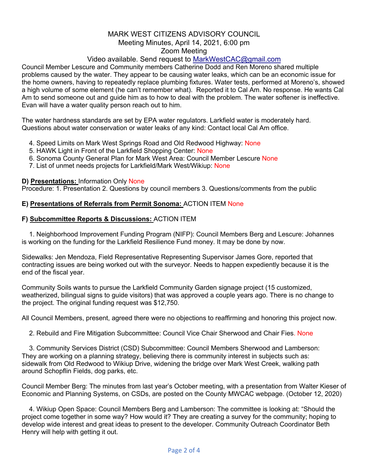## MARK WEST CITIZENS ADVISORY COUNCIL Meeting Minutes, April 14, 2021, 6:00 pm Zoom Meeting

# Video available. Send request to MarkWestCAC@gmail.com

Council Member Lescure and Community members Catherine Dodd and Ren Moreno shared multiple problems caused by the water. They appear to be causing water leaks, which can be an economic issue for the home owners, having to repeatedly replace plumbing fixtures. Water tests, performed at Moreno's, showed a high volume of some element (he can't remember what). Reported it to Cal Am. No response. He wants Cal Am to send someone out and guide him as to how to deal with the problem. The water softener is ineffective. Evan will have a water quality person reach out to him.

The water hardness standards are set by EPA water regulators. Larkfield water is moderately hard. Questions about water conservation or water leaks of any kind: Contact local Cal Am office.

- 4. Speed Limits on Mark West Springs Road and Old Redwood Highway: None
- 5. HAWK Light in Front of the Larkfield Shopping Center: None
- 6. Sonoma County General Plan for Mark West Area: Council Member Lescure None
- 7. List of unmet needs projects for Larkfield/Mark West/Wikiup: None

#### **D) Presentations:** Information Only None

Procedure: 1. Presentation 2. Questions by council members 3. Questions/comments from the public

### **E) Presentations of Referrals from Permit Sonoma:** ACTION ITEM None

### **F) Subcommittee Reports & Discussions:** ACTION ITEM

1. Neighborhood Improvement Funding Program (NIFP): Council Members Berg and Lescure: Johannes is working on the funding for the Larkfield Resilience Fund money. It may be done by now.

Sidewalks: Jen Mendoza, Field Representative Representing Supervisor James Gore, reported that contracting issues are being worked out with the surveyor. Needs to happen expediently because it is the end of the fiscal year.

Community Soils wants to pursue the Larkfield Community Garden signage project (15 customized, weatherized, bilingual signs to guide visitors) that was approved a couple years ago. There is no change to the project. The original funding request was \$12,750.

All Council Members, present, agreed there were no objections to reaffirming and honoring this project now.

2. Rebuild and Fire Mitigation Subcommittee: Council Vice Chair Sherwood and Chair Fies. None

3. Community Services District (CSD) Subcommittee: Council Members Sherwood and Lamberson: They are working on a planning strategy, believing there is community interest in subjects such as: sidewalk from Old Redwood to Wikiup Drive, widening the bridge over Mark West Creek, walking path around Schopflin Fields, dog parks, etc.

Council Member Berg: The minutes from last year's October meeting, with a presentation from Walter Kieser of Economic and Planning Systems, on CSDs, are posted on the County MWCAC webpage. (October 12, 2020)

4. Wikiup Open Space: Council Members Berg and Lamberson: The committee is looking at: "Should the project come together in some way? How would it? They are creating a survey for the community; hoping to develop wide interest and great ideas to present to the developer. Community Outreach Coordinator Beth Henry will help with getting it out.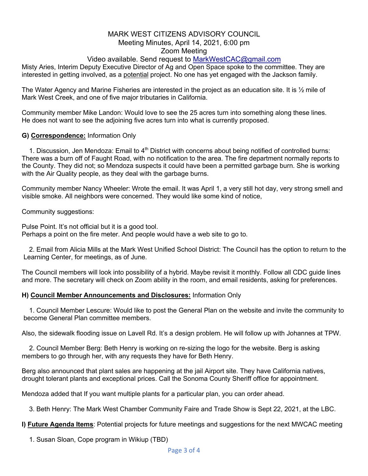## MARK WEST CITIZENS ADVISORY COUNCIL Meeting Minutes, April 14, 2021, 6:00 pm Zoom Meeting

# Video available. Send request to MarkWestCAC@gmail.com

Misty Aries, Interim Deputy Executive Director of Ag and Open Space spoke to the committee. They are interested in getting involved, as a potential project. No one has yet engaged with the Jackson family.

The Water Agency and Marine Fisheries are interested in the project as an education site. It is  $\frac{1}{2}$  mile of Mark West Creek, and one of five major tributaries in California.

Community member Mike Landon: Would love to see the 25 acres turn into something along these lines. He does not want to see the adjoining five acres turn into what is currently proposed.

## **G) Correspondence:** Information Only

1. Discussion, Jen Mendoza: Email to 4<sup>th</sup> District with concerns about being notified of controlled burns: There was a burn off of Faught Road, with no notification to the area. The fire department normally reports to the County. They did not; so Mendoza suspects it could have been a permitted garbage burn. She is working with the Air Quality people, as they deal with the garbage burns.

Community member Nancy Wheeler: Wrote the email. It was April 1, a very still hot day, very strong smell and visible smoke. All neighbors were concerned. They would like some kind of notice,

Community suggestions:

Pulse Point. It's not official but it is a good tool. Perhaps a point on the fire meter. And people would have a web site to go to.

2. Email from Alicia Mills at the Mark West Unified School District: The Council has the option to return to the Learning Center, for meetings, as of June.

The Council members will look into possibility of a hybrid. Maybe revisit it monthly. Follow all CDC guide lines and more. The secretary will check on Zoom ability in the room, and email residents, asking for preferences.

### **H) Council Member Announcements and Disclosures:** Information Only

1. Council Member Lescure: Would like to post the General Plan on the website and invite the community to become General Plan committee members.

Also, the sidewalk flooding issue on Lavell Rd. It's a design problem. He will follow up with Johannes at TPW.

2. Council Member Berg: Beth Henry is working on re-sizing the logo for the website. Berg is asking members to go through her, with any requests they have for Beth Henry.

Berg also announced that plant sales are happening at the jail Airport site. They have California natives, drought tolerant plants and exceptional prices. Call the Sonoma County Sheriff office for appointment.

Mendoza added that If you want multiple plants for a particular plan, you can order ahead.

3. Beth Henry: The Mark West Chamber Community Faire and Trade Show is Sept 22, 2021, at the LBC.

**I) Future Agenda Items**: Potential projects for future meetings and suggestions for the next MWCAC meeting

1. Susan Sloan, Cope program in Wikiup (TBD)